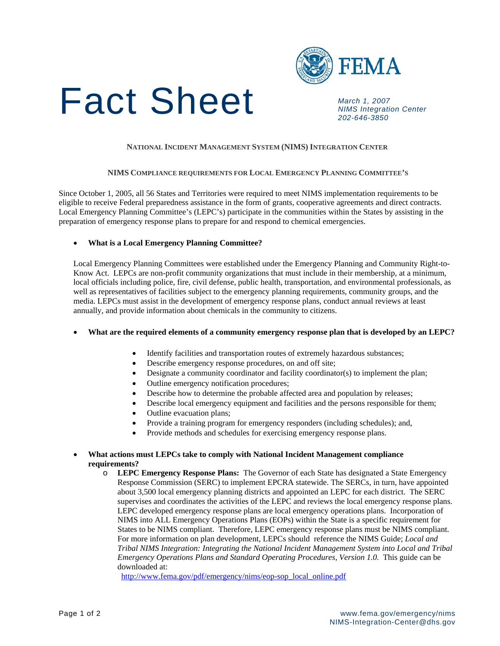



 *NIMS Integration Center 202-646-3850*

## **NATIONAL INCIDENT MANAGEMENT SYSTEM (NIMS) INTEGRATION CENTER**

### **NIMS COMPLIANCE REQUIREMENTS FOR LOCAL EMERGENCY PLANNING COMMITTEE'S**

Since October 1, 2005, all 56 States and Territories were required to meet NIMS implementation requirements to be eligible to receive Federal preparedness assistance in the form of grants, cooperative agreements and direct contracts. Local Emergency Planning Committee's (LEPC's) participate in the communities within the States by assisting in the preparation of emergency response plans to prepare for and respond to chemical emergencies.

### • **What is a Local Emergency Planning Committee?**

Local Emergency Planning Committees were established under the Emergency Planning and Community Right-to-Know Act. LEPCs are non-profit community organizations that must include in their membership, at a minimum, local officials including police, fire, civil defense, public health, transportation, and environmental professionals, as well as representatives of facilities subject to the emergency planning requirements, community groups, and the media. LEPCs must assist in the development of emergency response plans, conduct annual reviews at least annually, and provide information about chemicals in the community to citizens.

# • **What are the required elements of a community emergency response plan that is developed by an LEPC?**

- Identify facilities and transportation routes of extremely hazardous substances;
- Describe emergency response procedures, on and off site;
- Designate a community coordinator and facility coordinator(s) to implement the plan;
- Outline emergency notification procedures;
- Describe how to determine the probable affected area and population by releases;
- Describe local emergency equipment and facilities and the persons responsible for them;
- Outline evacuation plans;
- Provide a training program for emergency responders (including schedules); and,
- Provide methods and schedules for exercising emergency response plans.

# • **What actions must LEPCs take to comply with National Incident Management compliance requirements?**

o **LEPC Emergency Response Plans:** The Governor of each State has designated a State Emergency Response Commission (SERC) to implement EPCRA statewide. The SERCs, in turn, have appointed about 3,500 local emergency planning districts and appointed an LEPC for each district. The SERC supervises and coordinates the activities of the LEPC and reviews the local emergency response plans. LEPC developed emergency response plans are local emergency operations plans. Incorporation of NIMS into ALL Emergency Operations Plans (EOPs) within the State is a specific requirement for States to be NIMS compliant. Therefore, LEPC emergency response plans must be NIMS compliant. For more information on plan development, LEPCs should reference the NIMS Guide; *Local and Tribal NIMS Integration: Integrating the National Incident Management System into Local and Tribal Emergency Operations Plans and Standard Operating Procedures, Version 1.0.* This guide can be downloaded at:

[http://www.fema.gov/pdf/emergency/nims/eop-sop\\_local\\_online.pdf](http://www.fema.gov/pdf/emergency/nims/eop-sop_local_online.pdf)